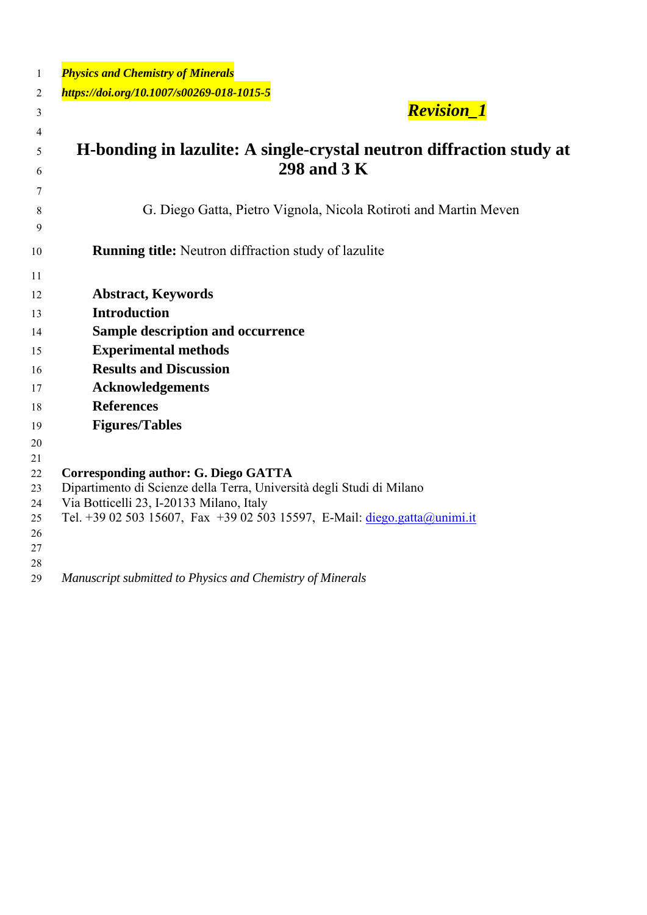| 1        | <b>Physics and Chemistry of Minerals</b>                                                                          |
|----------|-------------------------------------------------------------------------------------------------------------------|
| 2        | https://doi.org/10.1007/s00269-018-1015-5                                                                         |
| 3        | <b>Revision_1</b>                                                                                                 |
| 4        |                                                                                                                   |
| 5        | H-bonding in lazulite: A single-crystal neutron diffraction study at                                              |
| 6        | 298 and 3 K                                                                                                       |
| 7        |                                                                                                                   |
|          | G. Diego Gatta, Pietro Vignola, Nicola Rotiroti and Martin Meven                                                  |
| 8<br>9   |                                                                                                                   |
|          |                                                                                                                   |
| 10       | <b>Running title:</b> Neutron diffraction study of lazulite                                                       |
| 11       |                                                                                                                   |
| 12       | <b>Abstract, Keywords</b>                                                                                         |
| 13       | <b>Introduction</b>                                                                                               |
| 14       | Sample description and occurrence                                                                                 |
| 15       | <b>Experimental methods</b>                                                                                       |
| 16       | <b>Results and Discussion</b>                                                                                     |
| 17       | <b>Acknowledgements</b>                                                                                           |
| 18       | <b>References</b>                                                                                                 |
| 19       | <b>Figures/Tables</b>                                                                                             |
| 20       |                                                                                                                   |
| 21       |                                                                                                                   |
| 22       | Corresponding author: G. Diego GATTA                                                                              |
| 23<br>24 | Dipartimento di Scienze della Terra, Università degli Studi di Milano<br>Via Botticelli 23, I-20133 Milano, Italy |
| 25       | Tel. +39 02 503 15607, Fax +39 02 503 15597, E-Mail: diego.gatta@unimi.it                                         |
| 26       |                                                                                                                   |
| 27       |                                                                                                                   |
| 28       |                                                                                                                   |
| 29       | Manuscript submitted to Physics and Chemistry of Minerals                                                         |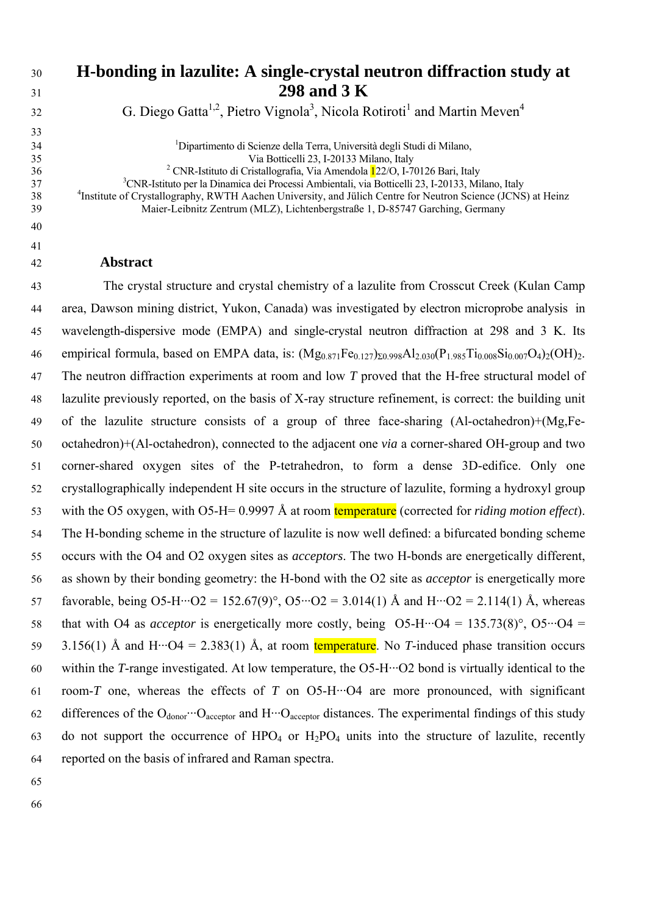| 30 | H-bonding in lazulite: A single-crystal neutron diffraction study at                                                     |
|----|--------------------------------------------------------------------------------------------------------------------------|
| 31 | 298 and 3 K                                                                                                              |
| 32 | G. Diego Gatta <sup>1,2</sup> , Pietro Vignola <sup>3</sup> , Nicola Rotiroti <sup>1</sup> and Martin Meven <sup>4</sup> |
| 33 |                                                                                                                          |
| 34 | <sup>1</sup> Dipartimento di Scienze della Terra, Università degli Studi di Milano,                                      |
| 35 | Via Botticelli 23, I-20133 Milano, Italy                                                                                 |
| 36 | <sup>2</sup> CNR-Istituto di Cristallografia, Via Amendola $122/O$ , I-70126 Bari, Italy                                 |
| 37 | <sup>3</sup> CNR-Istituto per la Dinamica dei Processi Ambientali, via Botticelli 23, I-20133, Milano, Italy             |
| 38 | <sup>4</sup> Institute of Crystallography, RWTH Aachen University, and Jülich Centre for Neutron Science (JCNS) at Heinz |
| 39 | Maier-Leibnitz Zentrum (MLZ), Lichtenbergstraße 1, D-85747 Garching, Germany                                             |
| 40 |                                                                                                                          |
| 41 |                                                                                                                          |
| 42 | <b>Abstract</b>                                                                                                          |

43 The crystal structure and crystal chemistry of a lazulite from Crosscut Creek (Kulan Camp 44 area, Dawson mining district, Yukon, Canada) was investigated by electron microprobe analysis in 45 wavelength-dispersive mode (EMPA) and single-crystal neutron diffraction at 298 and 3 K. Its 46 empirical formula, based on EMPA data, is:  $(Mg_{0.871}Fe_{0.127})_{\Sigma 0.998}Al_{2.030}(P_{1.985}Ti_{0.008}Si_{0.007}O_4)_{2}(OH)_{2}$ . 47 The neutron diffraction experiments at room and low *T* proved that the H-free structural model of 48 lazulite previously reported, on the basis of X-ray structure refinement, is correct: the building unit 49 of the lazulite structure consists of a group of three face-sharing (Al-octahedron)+(Mg,Fe-50 octahedron)+(Al-octahedron), connected to the adjacent one *via* a corner-shared OH-group and two 51 corner-shared oxygen sites of the P-tetrahedron, to form a dense 3D-edifice. Only one 52 crystallographically independent H site occurs in the structure of lazulite, forming a hydroxyl group 53 with the O5 oxygen, with O5-H= 0.9997 Å at room temperature (corrected for *riding motion effect*). 54 The H-bonding scheme in the structure of lazulite is now well defined: a bifurcated bonding scheme 55 occurs with the O4 and O2 oxygen sites as *acceptors*. The two H-bonds are energetically different, 56 as shown by their bonding geometry: the H-bond with the O2 site as *acceptor* is energetically more 57 favorable, being O5-H···O2 = 152.67(9)°, O5···O2 = 3.014(1) Å and H···O2 = 2.114(1) Å, whereas 58 that with O4 as *acceptor* is energetically more costly, being  $O5-H \cdot O4 = 135.73(8)^\circ$ ,  $O5 \cdot O4 =$ 59 3.156(1) Å and H···O4 = 2.383(1) Å, at room temperature. No *T*-induced phase transition occurs 60 within the *T*-range investigated. At low temperature, the O5-H···O2 bond is virtually identical to the 61 room-*T* one, whereas the effects of *T* on O5-H···O4 are more pronounced, with significant 62 differences of the  $O_{donor}$   $O_{acentor}$  and  $H \cdots O_{acentor}$  distances. The experimental findings of this study 63 do not support the occurrence of  $HPO_4$  or  $H_2PO_4$  units into the structure of lazulite, recently 64 reported on the basis of infrared and Raman spectra.

65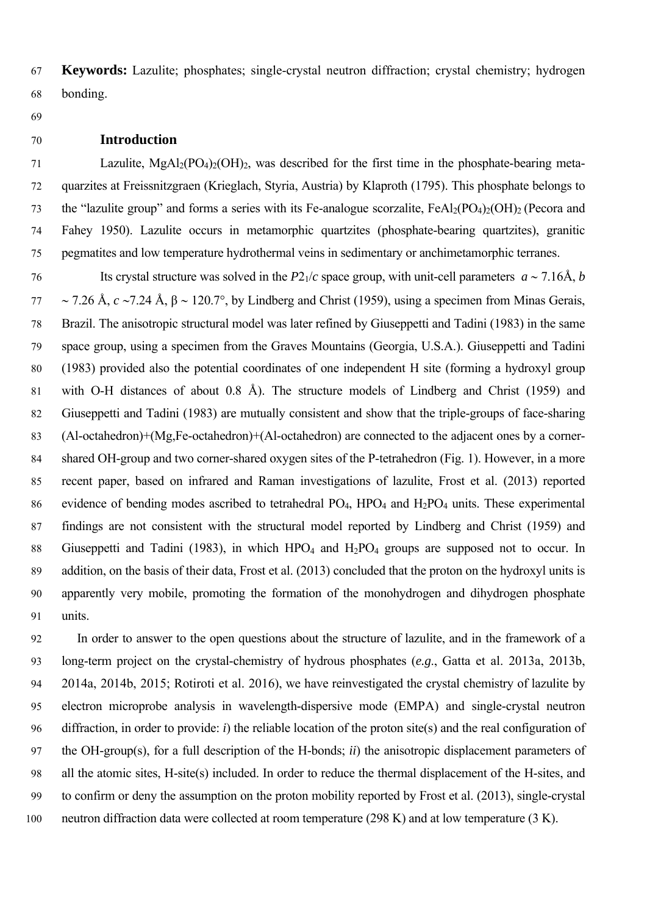67 **Keywords:** Lazulite; phosphates; single-crystal neutron diffraction; crystal chemistry; hydrogen 68 bonding.

69

## 70 **Introduction**

71 Lazulite,  $MgAl<sub>2</sub>(PO<sub>4</sub>)<sub>2</sub>(OH)<sub>2</sub>$ , was described for the first time in the phosphate-bearing meta-72 quarzites at Freissnitzgraen (Krieglach, Styria, Austria) by Klaproth (1795). This phosphate belongs to 73 the "lazulite group" and forms a series with its Fe-analogue scorzalite,  $FeAl<sub>2</sub>(PO<sub>4</sub>)<sub>2</sub>(OH)<sub>2</sub> (Pecora and$ 74 Fahey 1950). Lazulite occurs in metamorphic quartzites (phosphate-bearing quartzites), granitic 75 pegmatites and low temperature hydrothermal veins in sedimentary or anchimetamorphic terranes.

76 Its crystal structure was solved in the  $P2_1/c$  space group, with unit-cell parameters  $a \sim 7.16$ Å, *b* 77  $\sim$  7.26 Å, *c* ~7.24 Å, β ~ 120.7°, by Lindberg and Christ (1959), using a specimen from Minas Gerais, 78 Brazil. The anisotropic structural model was later refined by Giuseppetti and Tadini (1983) in the same 79 space group, using a specimen from the Graves Mountains (Georgia, U.S.A.). Giuseppetti and Tadini 80 (1983) provided also the potential coordinates of one independent H site (forming a hydroxyl group 81 with O-H distances of about 0.8 Å). The structure models of Lindberg and Christ (1959) and 82 Giuseppetti and Tadini (1983) are mutually consistent and show that the triple-groups of face-sharing 83 (Al-octahedron)+(Mg,Fe-octahedron)+(Al-octahedron) are connected to the adjacent ones by a corner-84 shared OH-group and two corner-shared oxygen sites of the P-tetrahedron (Fig. 1). However, in a more 85 recent paper, based on infrared and Raman investigations of lazulite, Frost et al. (2013) reported 86 evidence of bending modes ascribed to tetrahedral  $PO<sub>4</sub>$ ,  $HPO<sub>4</sub>$  and  $H<sub>2</sub>PO<sub>4</sub>$  units. These experimental 87 findings are not consistent with the structural model reported by Lindberg and Christ (1959) and 88 Giuseppetti and Tadini (1983), in which  $HPO_4$  and  $H_2PO_4$  groups are supposed not to occur. In 89 addition, on the basis of their data, Frost et al. (2013) concluded that the proton on the hydroxyl units is 90 apparently very mobile, promoting the formation of the monohydrogen and dihydrogen phosphate 91 units.

92 In order to answer to the open questions about the structure of lazulite, and in the framework of a 93 long-term project on the crystal-chemistry of hydrous phosphates (*e.g*., Gatta et al. 2013a, 2013b, 94 2014a, 2014b, 2015; Rotiroti et al. 2016), we have reinvestigated the crystal chemistry of lazulite by 95 electron microprobe analysis in wavelength-dispersive mode (EMPA) and single-crystal neutron 96 diffraction, in order to provide: *i*) the reliable location of the proton site(s) and the real configuration of 97 the OH-group(s), for a full description of the H-bonds; *ii*) the anisotropic displacement parameters of 98 all the atomic sites, H-site(s) included. In order to reduce the thermal displacement of the H-sites, and 99 to confirm or deny the assumption on the proton mobility reported by Frost et al. (2013), single-crystal 100 neutron diffraction data were collected at room temperature (298 K) and at low temperature (3 K).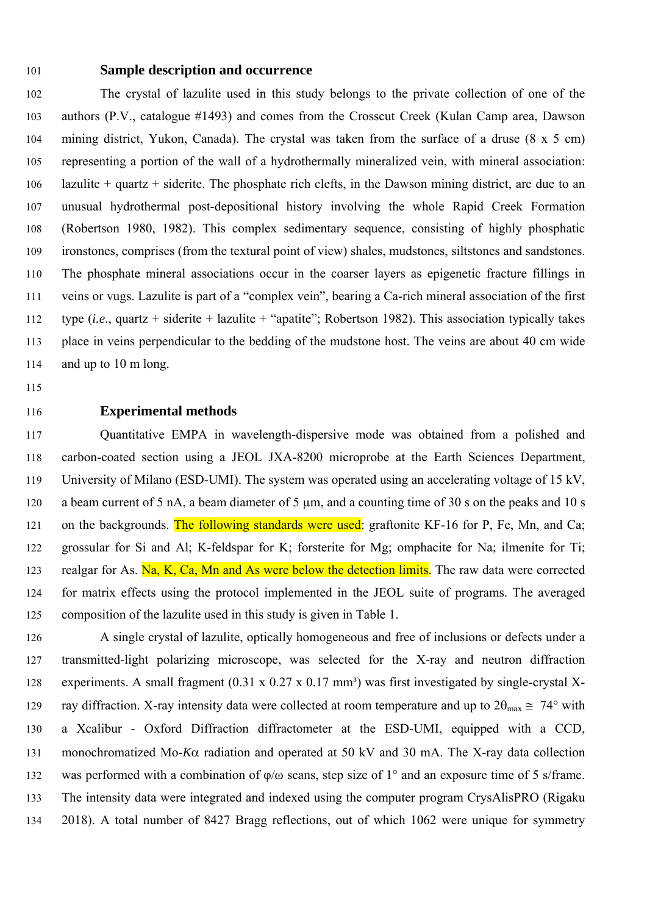### 101 **Sample description and occurrence**

102 The crystal of lazulite used in this study belongs to the private collection of one of the 103 authors (P.V., catalogue #1493) and comes from the Crosscut Creek (Kulan Camp area, Dawson 104 mining district, Yukon, Canada). The crystal was taken from the surface of a druse (8 x 5 cm) 105 representing a portion of the wall of a hydrothermally mineralized vein, with mineral association: 106 lazulite + quartz + siderite. The phosphate rich clefts, in the Dawson mining district, are due to an 107 unusual hydrothermal post-depositional history involving the whole Rapid Creek Formation 108 (Robertson 1980, 1982). This complex sedimentary sequence, consisting of highly phosphatic 109 ironstones, comprises (from the textural point of view) shales, mudstones, siltstones and sandstones. 110 The phosphate mineral associations occur in the coarser layers as epigenetic fracture fillings in 111 veins or vugs. Lazulite is part of a "complex vein", bearing a Ca-rich mineral association of the first 112 type (*i.e*., quartz + siderite + lazulite + "apatite"; Robertson 1982). This association typically takes 113 place in veins perpendicular to the bedding of the mudstone host. The veins are about 40 cm wide 114 and up to 10 m long.

115

## 116 **Experimental methods**

117 Quantitative EMPA in wavelength-dispersive mode was obtained from a polished and 118 carbon-coated section using a JEOL JXA-8200 microprobe at the Earth Sciences Department, 119 University of Milano (ESD-UMI). The system was operated using an accelerating voltage of 15 kV, 120 a beam current of 5 nA, a beam diameter of 5  $\mu$ m, and a counting time of 30 s on the peaks and 10 s 121 on the backgrounds. The following standards were used: graftonite KF-16 for P, Fe, Mn, and Ca; 122 grossular for Si and Al; K-feldspar for K; forsterite for Mg; omphacite for Na; ilmenite for Ti; 123 realgar for As. Na, K, Ca, Mn and As were below the detection limits. The raw data were corrected 124 for matrix effects using the protocol implemented in the JEOL suite of programs. The averaged 125 composition of the lazulite used in this study is given in Table 1.

126 A single crystal of lazulite, optically homogeneous and free of inclusions or defects under a 127 transmitted-light polarizing microscope, was selected for the X-ray and neutron diffraction 128 experiments. A small fragment (0.31 x 0.27 x 0.17 mm<sup>3</sup>) was first investigated by single-crystal X-129 ray diffraction. X-ray intensity data were collected at room temperature and up to  $2\theta_{\text{max}} \approx 74^{\circ}$  with 130 a Xcalibur - Oxford Diffraction diffractometer at the ESD-UMI, equipped with a CCD, 131 monochromatized Mo- $K\alpha$  radiation and operated at 50 kV and 30 mA. The X-ray data collection 132 was performed with a combination of φ/ω scans, step size of 1° and an exposure time of 5 s/frame. 133 The intensity data were integrated and indexed using the computer program CrysAlisPRO (Rigaku 134 2018). A total number of 8427 Bragg reflections, out of which 1062 were unique for symmetry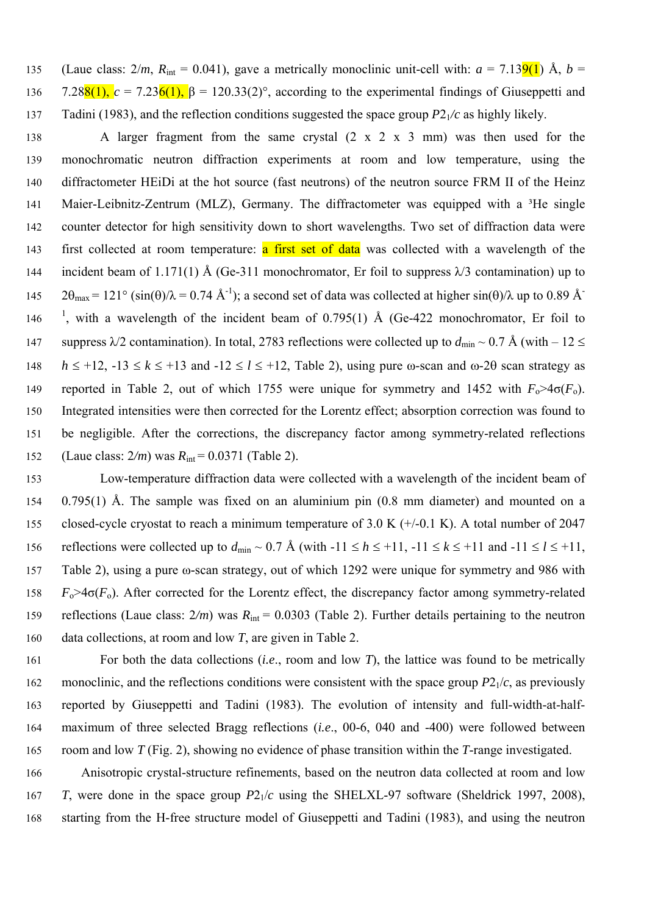135 (Laue class:  $2/m$ ,  $R_{\text{int}} = 0.041$ ), gave a metrically monoclinic unit-cell with:  $a = 7.139(1)$  Å,  $b =$ 136 7.28<sup>8</sup>(1),  $c = 7.236(1)$ ,  $\beta = 120.33(2)$ °, according to the experimental findings of Giuseppetti and 137 Tadini (1983), and the reflection conditions suggested the space group *P*21*/c* as highly likely.

138 A larger fragment from the same crystal (2 x 2 x 3 mm) was then used for the 139 monochromatic neutron diffraction experiments at room and low temperature, using the 140 diffractometer HEiDi at the hot source (fast neutrons) of the neutron source FRM II of the Heinz 141 Maier-Leibnitz-Zentrum (MLZ), Germany. The diffractometer was equipped with a <sup>3</sup>He single 142 counter detector for high sensitivity down to short wavelengths. Two set of diffraction data were 143 first collected at room temperature: a first set of data was collected with a wavelength of the 144 incident beam of 1.171(1) Å (Ge-311 monochromator, Er foil to suppress  $\lambda$ /3 contamination) up to  $2\theta_{\text{max}} = 121^{\circ}$  (sin( $\theta$ )/ $\lambda = 0.74 \text{ Å}^{-1}$ ); a second set of data was collected at higher sin( $\theta$ )/ $\lambda$  up to 0.89 Å 146 <sup>1</sup>, with a wavelength of the incident beam of 0.795(1) Å (Ge-422 monochromator, Er foil to 147 suppress  $\lambda/2$  contamination). In total, 2783 reflections were collected up to  $d_{\text{min}} \sim 0.7 \text{ Å}$  (with  $-12 \leq$ 148  $h \leq +12$ ,  $-13 \leq k \leq +13$  and  $-12 \leq l \leq +12$ , Table 2), using pure  $\omega$ -scan and  $\omega$ -20 scan strategy as 149 reported in Table 2, out of which 1755 were unique for symmetry and 1452 with  $F_0 > 4\sigma(F_0)$ . 150 Integrated intensities were then corrected for the Lorentz effect; absorption correction was found to 151 be negligible. After the corrections, the discrepancy factor among symmetry-related reflections 152 (Laue class: 2*/m*) was *R*int = 0.0371 (Table 2).

153 Low-temperature diffraction data were collected with a wavelength of the incident beam of 154 0.795(1) Å. The sample was fixed on an aluminium pin (0.8 mm diameter) and mounted on a 155 closed-cycle cryostat to reach a minimum temperature of 3.0 K (+/-0.1 K). A total number of 2047 156 reflections were collected up to  $d_{\text{min}} \sim 0.7$  Å (with  $-11 \le h \le +11$ ,  $-11 \le k \le +11$  and  $-11 \le l \le +11$ , 157 Table 2), using a pure ω-scan strategy, out of which 1292 were unique for symmetry and 986 with 158  $F_0 > 4\sigma(F_0)$ . After corrected for the Lorentz effect, the discrepancy factor among symmetry-related 159 reflections (Laue class: 2*/m*) was *R*int = 0.0303 (Table 2). Further details pertaining to the neutron 160 data collections, at room and low *T*, are given in Table 2.

161 For both the data collections (*i.e*., room and low *T*), the lattice was found to be metrically 162 monoclinic, and the reflections conditions were consistent with the space group  $P2_1/c$ , as previously 163 reported by Giuseppetti and Tadini (1983). The evolution of intensity and full-width-at-half-164 maximum of three selected Bragg reflections (*i.e*., 00-6, 040 and -400) were followed between 165 room and low *T* (Fig. 2), showing no evidence of phase transition within the *T*-range investigated.

166 Anisotropic crystal-structure refinements, based on the neutron data collected at room and low 167 *T*, were done in the space group  $P2<sub>1</sub>/c$  using the SHELXL-97 software (Sheldrick 1997, 2008), 168 starting from the H-free structure model of Giuseppetti and Tadini (1983), and using the neutron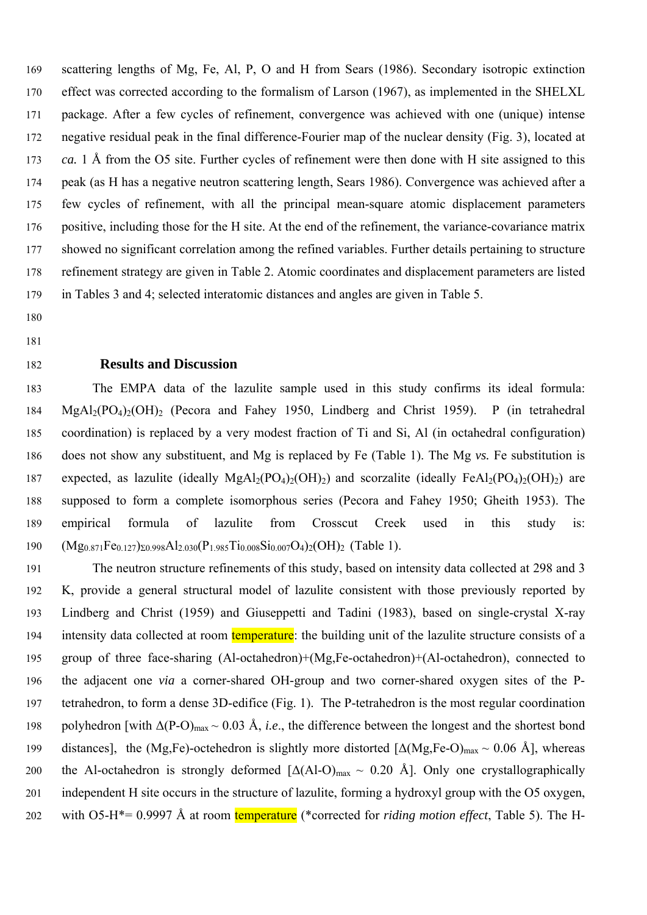169 scattering lengths of Mg, Fe, Al, P, O and H from Sears (1986). Secondary isotropic extinction 170 effect was corrected according to the formalism of Larson (1967), as implemented in the SHELXL 171 package. After a few cycles of refinement, convergence was achieved with one (unique) intense 172 negative residual peak in the final difference-Fourier map of the nuclear density (Fig. 3), located at 173 *ca.* 1 Å from the O5 site. Further cycles of refinement were then done with H site assigned to this 174 peak (as H has a negative neutron scattering length, Sears 1986). Convergence was achieved after a 175 few cycles of refinement, with all the principal mean-square atomic displacement parameters 176 positive, including those for the H site. At the end of the refinement, the variance-covariance matrix 177 showed no significant correlation among the refined variables. Further details pertaining to structure 178 refinement strategy are given in Table 2. Atomic coordinates and displacement parameters are listed 179 in Tables 3 and 4; selected interatomic distances and angles are given in Table 5.

- 180
- 181

# 182 **Results and Discussion**

183 The EMPA data of the lazulite sample used in this study confirms its ideal formula: 184 MgAl<sub>2</sub>(PO<sub>4</sub>)<sub>2</sub>(OH)<sub>2</sub> (Pecora and Fahey 1950, Lindberg and Christ 1959). P (in tetrahedral 185 coordination) is replaced by a very modest fraction of Ti and Si, Al (in octahedral configuration) 186 does not show any substituent, and Mg is replaced by Fe (Table 1). The Mg *vs.* Fe substitution is 187 expected, as lazulite (ideally  $MgAl_2(PO_4)_2(OH)_2$ ) and scorzalite (ideally FeAl<sub>2</sub>(PO<sub>4</sub>)<sub>2</sub>(OH)<sub>2</sub>) are 188 supposed to form a complete isomorphous series (Pecora and Fahey 1950; Gheith 1953). The 189 empirical formula of lazulite from Crosscut Creek used in this study is: 190  $(Mg_{0.871}Fe_{0.127})_{\Sigma 0.998}Al_{2.030}(P_{1.985}Ti_{0.008}Si_{0.007}O_4)_{2}(OH)_{2}$  (Table 1).

191 The neutron structure refinements of this study, based on intensity data collected at 298 and 3 192 K, provide a general structural model of lazulite consistent with those previously reported by 193 Lindberg and Christ (1959) and Giuseppetti and Tadini (1983), based on single-crystal X-ray 194 intensity data collected at room temperature: the building unit of the lazulite structure consists of a 195 group of three face-sharing (Al-octahedron)+(Mg,Fe-octahedron)+(Al-octahedron), connected to 196 the adjacent one *via* a corner-shared OH-group and two corner-shared oxygen sites of the P-197 tetrahedron, to form a dense 3D-edifice (Fig. 1). The P-tetrahedron is the most regular coordination 198 polyhedron [with  $\Delta (P-O)_{max} \sim 0.03 \text{ Å}$ , *i.e.*, the difference between the longest and the shortest bond 199 distances], the (Mg,Fe)-octehedron is slightly more distorted  $[\Delta(Mg,Fe-O)_{max} \sim 0.06 \text{ Å}]$ , whereas 200 the Al-octahedron is strongly deformed  $[\Delta(AI-O)_{max} \sim 0.20 \text{ Å}]$ . Only one crystallographically 201 independent H site occurs in the structure of lazulite, forming a hydroxyl group with the O5 oxygen, 202 with O5-H\*= 0.9997 Å at room temperature (\*corrected for *riding motion effect*, Table 5). The H-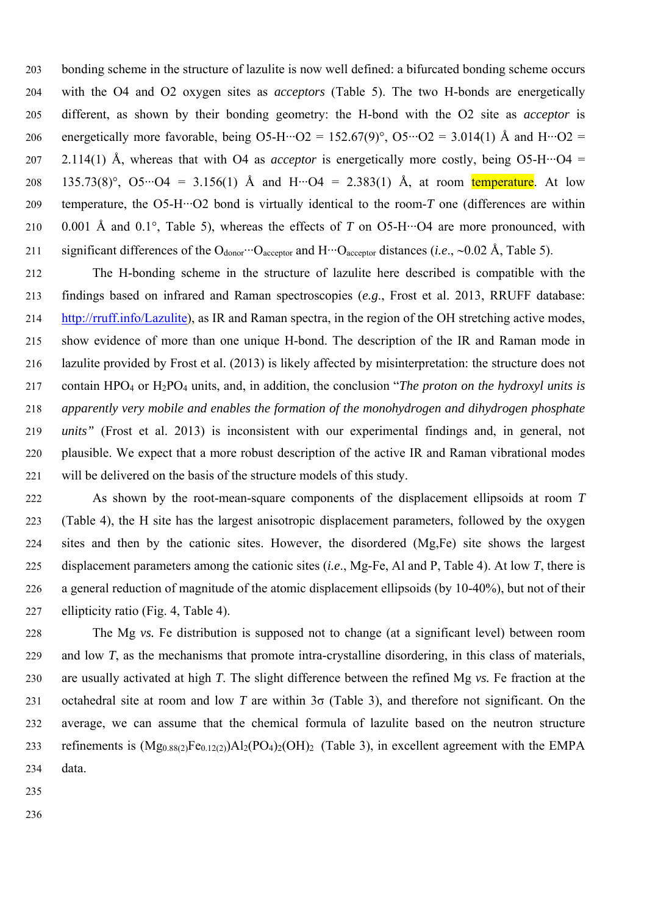203 bonding scheme in the structure of lazulite is now well defined: a bifurcated bonding scheme occurs 204 with the O4 and O2 oxygen sites as *acceptors* (Table 5). The two H-bonds are energetically 205 different, as shown by their bonding geometry: the H-bond with the O2 site as *acceptor* is 206 energetically more favorable, being  $O5-H\cdots O2 = 152.67(9)^\circ$ ,  $O5\cdots O2 = 3.014(1)$  Å and  $H\cdots O2 =$ 207 2.114(1) Å, whereas that with O4 as *acceptor* is energetically more costly, being O5-H···O4 = 208 135.73(8)°,  $O5\cdot O4 = 3.156(1)$  Å and  $H\cdot O4 = 2.383(1)$  Å, at room temperature. At low 209 temperature, the O5-H···O2 bond is virtually identical to the room-*T* one (differences are within 210 0.001 Å and 0.1°, Table 5), whereas the effects of *T* on O5-H···O4 are more pronounced, with 211 significant differences of the O<sub>donor</sub>  $O_{\text{acceptor}}$  and  $H \cdot O_{\text{acceptor}}$  distances (*i.e.*, ~0.02 Å, Table 5).

212 The H-bonding scheme in the structure of lazulite here described is compatible with the 213 findings based on infrared and Raman spectroscopies (*e.g*., Frost et al. 2013, RRUFF database: 214 http://rruff.info/Lazulite), as IR and Raman spectra, in the region of the OH stretching active modes, 215 show evidence of more than one unique H-bond. The description of the IR and Raman mode in 216 lazulite provided by Frost et al. (2013) is likely affected by misinterpretation: the structure does not 217 contain HPO4 or H2PO4 units, and, in addition, the conclusion "*The proton on the hydroxyl units is*  218 *apparently very mobile and enables the formation of the monohydrogen and dihydrogen phosphate*  219 *units"* (Frost et al. 2013) is inconsistent with our experimental findings and, in general, not 220 plausible. We expect that a more robust description of the active IR and Raman vibrational modes 221 will be delivered on the basis of the structure models of this study.

222 As shown by the root-mean-square components of the displacement ellipsoids at room *T* 223 (Table 4), the H site has the largest anisotropic displacement parameters, followed by the oxygen 224 sites and then by the cationic sites. However, the disordered (Mg,Fe) site shows the largest 225 displacement parameters among the cationic sites (*i.e*., Mg-Fe, Al and P, Table 4). At low *T*, there is 226 a general reduction of magnitude of the atomic displacement ellipsoids (by 10-40%), but not of their 227 ellipticity ratio (Fig. 4, Table 4).

228 The Mg *vs.* Fe distribution is supposed not to change (at a significant level) between room 229 and low *T*, as the mechanisms that promote intra-crystalline disordering, in this class of materials, 230 are usually activated at high *T*. The slight difference between the refined Mg *vs.* Fe fraction at the 231 octahedral site at room and low *T* are within 3σ (Table 3), and therefore not significant. On the 232 average, we can assume that the chemical formula of lazulite based on the neutron structure 233 refinements is  $(Mg_{0.88(2)}Fe_{0.12(2)})Al_2(PO_4)_2(OH)_2$  (Table 3), in excellent agreement with the EMPA 234 data.

- 235
- 236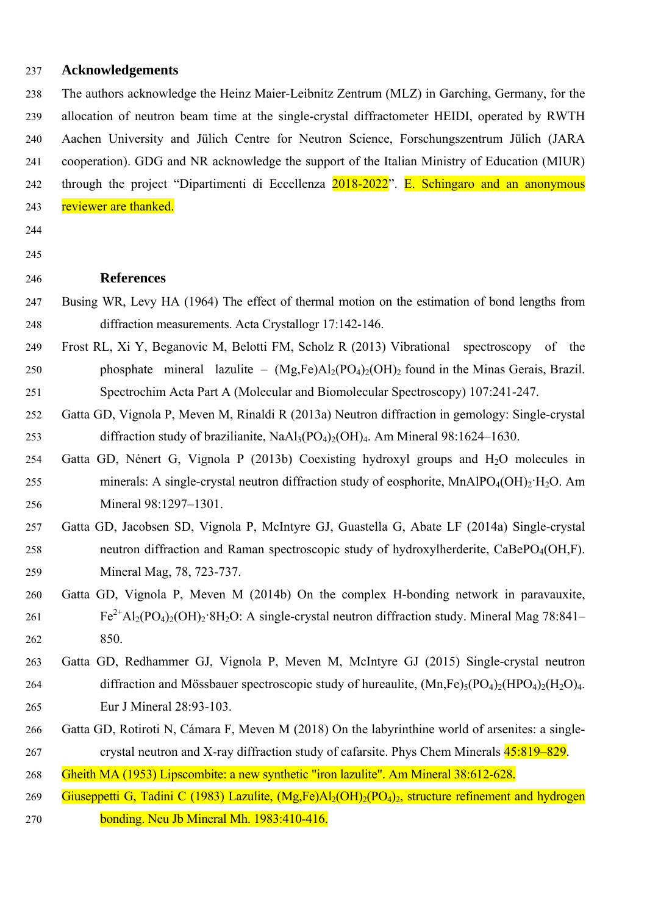## 237 **Acknowledgements**

238 The authors acknowledge the Heinz Maier-Leibnitz Zentrum (MLZ) in Garching, Germany, for the 239 allocation of neutron beam time at the single-crystal diffractometer HEIDI, operated by RWTH 240 Aachen University and Jülich Centre for Neutron Science, Forschungszentrum Jülich (JARA 241 cooperation). GDG and NR acknowledge the support of the Italian Ministry of Education (MIUR) 242 through the project "Dipartimenti di Eccellenza 2018-2022". E. Schingaro and an anonymous 243 reviewer are thanked.

244

245

#### 246 **References**

- 247 Busing WR, Levy HA (1964) The effect of thermal motion on the estimation of bond lengths from 248 diffraction measurements. Acta Crystallogr 17:142-146.
- 249 Frost RL, Xi Y, Beganovic M, Belotti FM, Scholz R (2013) Vibrational spectroscopy of the 250 phosphate mineral lazulite –  $(Mg,Fe)Al_2(PO_4)_2(OH)_2$  found in the Minas Gerais, Brazil. 251 Spectrochim Acta Part A (Molecular and Biomolecular Spectroscopy) 107:241-247.
- 252 Gatta GD, Vignola P, Meven M, Rinaldi R (2013a) Neutron diffraction in gemology: Single-crystal 253 diffraction study of brazilianite,  $NaAl<sub>3</sub>(PO<sub>4</sub>)<sub>2</sub>(OH)<sub>4</sub>$ . Am Mineral 98:1624–1630.
- 254 Gatta GD, Nénert G, Vignola P (2013b) Coexisting hydroxyl groups and H2O molecules in 255 minerals: A single-crystal neutron diffraction study of eosphorite, MnAlPO<sub>4</sub>(OH)<sub>2</sub>·H<sub>2</sub>O. Am 256 Mineral 98:1297–1301.
- 257 Gatta GD, Jacobsen SD, Vignola P, McIntyre GJ, Guastella G, Abate LF (2014a) Single-crystal 258 neutron diffraction and Raman spectroscopic study of hydroxylherderite, CaBePO<sub>4</sub>(OH,F). 259 Mineral Mag, 78, 723-737.
- 260 Gatta GD, Vignola P, Meven M (2014b) On the complex H-bonding network in paravauxite,  $Fe^{2+}Al_2(PO_4)_2(OH)_2·8H_2O$ : A single-crystal neutron diffraction study. Mineral Mag 78:841– 262 850.
- 263 Gatta GD, Redhammer GJ, Vignola P, Meven M, McIntyre GJ (2015) Single-crystal neutron 264 diffraction and Mössbauer spectroscopic study of hureaulite,  $(Mn.Fe)_{5}(PO_{4})_{2}(HPO_{4})_{2}(H_{2}O)_{4}$ . 265 Eur J Mineral 28:93-103.
- 266 Gatta GD, Rotiroti N, Cámara F, Meven M (2018) On the labyrinthine world of arsenites: a single-267 crystal neutron and X-ray diffraction study of cafarsite. Phys Chem Minerals  $45:819-829$ .
- 268 Gheith MA (1953) Lipscombite: a new synthetic "iron lazulite". Am Mineral 38:612-628.
- 269 Giuseppetti G, Tadini C (1983) Lazulite,  $(Mg,Fe)Al_2(OH)_2(PO_4)_2$ , structure refinement and hydrogen 270 bonding. Neu Jb Mineral Mh. 1983:410-416.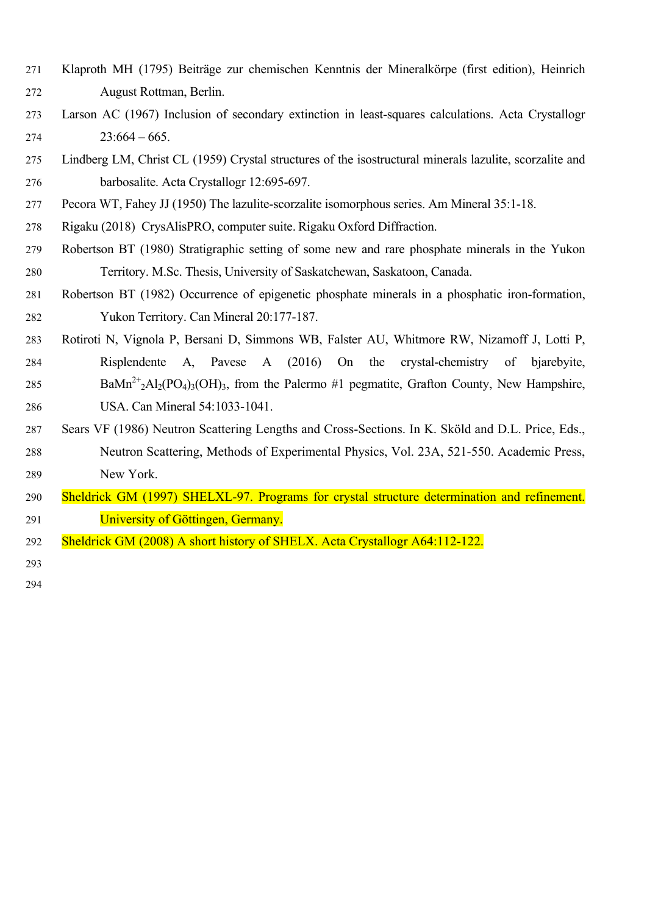- 271 Klaproth MH (1795) Beiträge zur chemischen Kenntnis der Mineralkörpe (first edition), Heinrich 272 August Rottman, Berlin.
- 273 Larson AC (1967) Inclusion of secondary extinction in least-squares calculations. Acta Crystallogr  $274$   $23:664 - 665$ .
- 275 Lindberg LM, Christ CL (1959) Crystal structures of the isostructural minerals lazulite, scorzalite and 276 barbosalite. Acta Crystallogr 12:695-697.
- 277 Pecora WT, Fahey JJ (1950) The lazulite-scorzalite isomorphous series. Am Mineral 35:1-18.
- 278 Rigaku (2018) CrysAlisPRO, computer suite. Rigaku Oxford Diffraction.
- 279 Robertson BT (1980) Stratigraphic setting of some new and rare phosphate minerals in the Yukon 280 Territory. M.Sc. Thesis, University of Saskatchewan, Saskatoon, Canada.
- 281 Robertson BT (1982) Occurrence of epigenetic phosphate minerals in a phosphatic iron-formation, 282 Yukon Territory. Can Mineral 20:177-187.
- 283 Rotiroti N, Vignola P, Bersani D, Simmons WB, Falster AU, Whitmore RW, Nizamoff J, Lotti P, 284 Risplendente A, Pavese A (2016) On the crystal-chemistry of bjarebyite, 285 BaMn<sup>2+</sup><sub>2</sub>Al<sub>2</sub>(PO<sub>4</sub>)<sub>3</sub>(OH)<sub>3</sub>, from the Palermo #1 pegmatite, Grafton County, New Hampshire, 286 USA. Can Mineral 54:1033-1041.
- 287 Sears VF (1986) Neutron Scattering Lengths and Cross-Sections. In K. Sköld and D.L. Price, Eds., 288 Neutron Scattering, Methods of Experimental Physics, Vol. 23A, 521-550. Academic Press, 289 New York.
- 290 Sheldrick GM (1997) SHELXL-97. Programs for crystal structure determination and refinement. 291 University of Göttingen, Germany.
- 292 Sheldrick GM (2008) A short history of SHELX. Acta Crystallogr A64:112-122.

293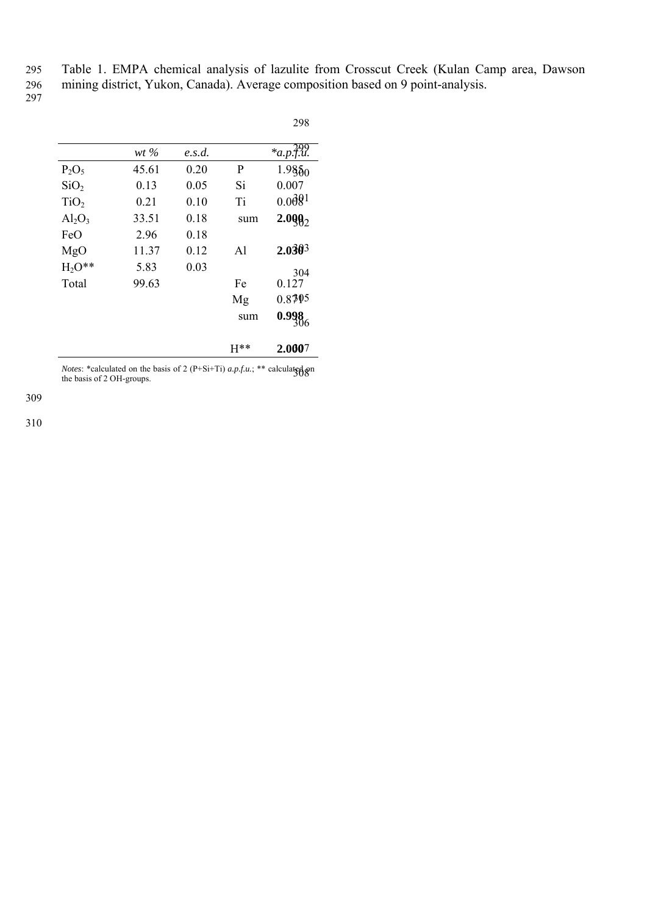295 Table 1. EMPA chemical analysis of lazulite from Crosscut Creek (Kulan Camp area, Dawson

298

296 mining district, Yukon, Canada). Average composition based on 9 point-analysis.

 $297$ 

|                  | $wt\,\%$ | e.s.d. |              | $*_{a.p.}499$          |
|------------------|----------|--------|--------------|------------------------|
| $P_2O_5$         | 45.61    | 0.20   | P            | $1.985_{0}$            |
| SiO <sub>2</sub> | 0.13     | 0.05   | Si           | 0.007                  |
| TiO <sub>2</sub> | 0.21     | 0.10   | Ti           | 0.0681                 |
| $Al_2O_3$        | 33.51    | 0.18   | sum          | $2.099_2$              |
| FeO              | 2.96     | 0.18   |              |                        |
| MgO              | 11.37    | 0.12   | $\mathbf{A}$ | $2.030^{3}$            |
| $H_2O^{**}$      | 5.83     | 0.03   |              | 304                    |
| Total            | 99.63    |        | Fe           | 0.127                  |
|                  |          |        | Mg           | 0.8795                 |
|                  |          |        | sum          | $0.998$ <sub>306</sub> |
|                  |          |        | $H^{**}$     | 2.0007                 |

*Notes*: \*calculated on the basis of 2 (P+Si+Ti)  $a.p.f.u.;$  \*\* calculated on<br>the basis of 2 OU groups the basis of 2 OH-groups.

309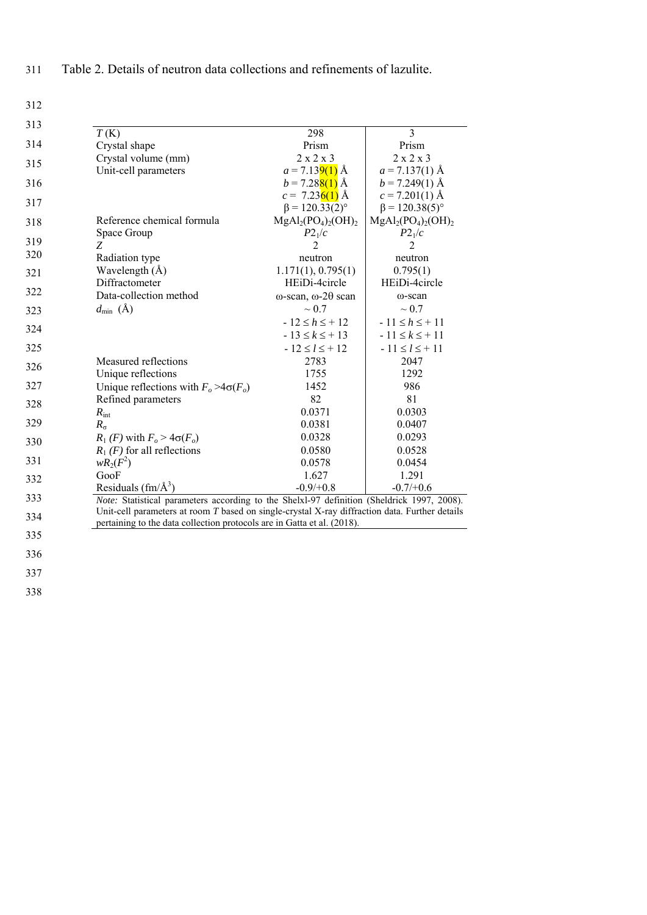311 Table 2. Details of neutron data collections and refinements of lazulite.

312

| 313 |                                                                                                |                                   |                       |
|-----|------------------------------------------------------------------------------------------------|-----------------------------------|-----------------------|
|     | T(K)                                                                                           | 298                               | 3                     |
| 314 | Crystal shape                                                                                  | Prism                             | Prism                 |
| 315 | Crystal volume (mm)                                                                            | $2 \times 2 \times 3$             | $2 \times 2 \times 3$ |
|     | Unit-cell parameters                                                                           | $a = 7.139(1)$ Å                  | $a = 7.137(1)$ Å      |
| 316 |                                                                                                | $b = 7.28(1)$ Å                   | $b = 7.249(1)$ Å      |
| 317 |                                                                                                | $c = 7.236(1)$ Å                  | $c = 7.201(1)$ Å      |
|     |                                                                                                | $\beta = 120.33(2)^{\circ}$       | $\beta = 120.38(5)$ ° |
| 318 | Reference chemical formula                                                                     | $MgAl2(PO4)2(OH)2$                | $MgAl2(PO4)2(OH)2$    |
| 319 | Space Group                                                                                    | $P2_1/c$                          | $P2_1/c$              |
| 320 | Z                                                                                              | $\overline{2}$                    | $\overline{2}$        |
|     | Radiation type                                                                                 | neutron                           | neutron               |
| 321 | Wavelength $(\AA)$                                                                             | 1.171(1), 0.795(1)                | 0.795(1)              |
| 322 | Diffractometer                                                                                 | HEiDi-4circle                     | HEiDi-4circle         |
|     | Data-collection method                                                                         | $\omega$ -scan, $\omega$ -20 scan | ω-scan                |
| 323 | $d_{\min}(\text{\AA})$                                                                         | $\sim 0.7$                        | $\sim 0.7$            |
| 324 |                                                                                                | $-12 \le h \le +12$               | $-11 \le h \le +11$   |
|     |                                                                                                | $-13 \le k \le +13$               | $-11 \le k \le 11$    |
| 325 |                                                                                                | $-12 \le l \le +12$               | $-11 \le l \le +11$   |
| 326 | Measured reflections                                                                           | 2783                              | 2047                  |
|     | Unique reflections                                                                             | 1755                              | 1292                  |
| 327 | Unique reflections with $F_o > 4\sigma(F_o)$                                                   | 1452                              | 986                   |
| 328 | Refined parameters                                                                             | 82                                | 81                    |
|     | $R_{\rm int}$                                                                                  | 0.0371                            | 0.0303                |
| 329 | $R_{\sigma}$                                                                                   | 0.0381                            | 0.0407                |
| 330 | $R_1$ (F) with $F_o > 4\sigma(F_o)$                                                            | 0.0328                            | 0.0293                |
|     | $R_1$ (F) for all reflections                                                                  | 0.0580                            | 0.0528                |
| 331 | $wR_2(F^2)$                                                                                    | 0.0578                            | 0.0454                |
| 332 | GooF                                                                                           | 1.627                             | 1.291                 |
|     | Residuals $\text{ (fm/A}^3)$                                                                   | $-0.9/+0.8$                       | $-0.7/+0.6$           |
| 333 | Note: Statistical parameters according to the Shelxl-97 definition (Sheldrick 1997, 2008).     |                                   |                       |
| 334 | Unit-cell parameters at room T based on single-crystal X-ray diffraction data. Further details |                                   |                       |
|     | pertaining to the data collection protocols are in Gatta et al. (2018).                        |                                   |                       |
| 335 |                                                                                                |                                   |                       |
| 336 |                                                                                                |                                   |                       |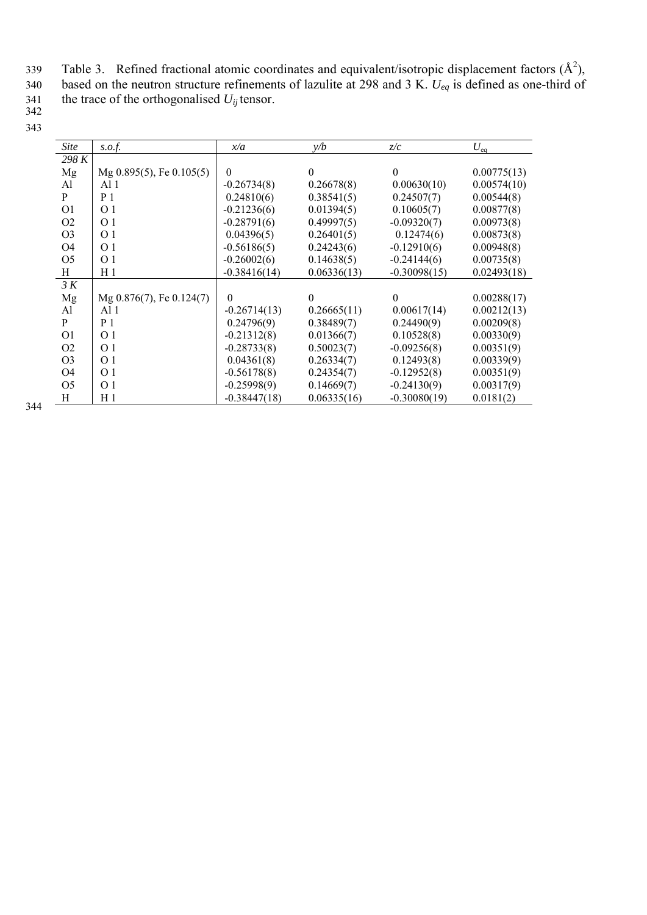Table 3. Refined fractional atomic coordinates and equivalent/isotropic displacement factors  $(\hat{A}^2)$ ,

340 based on the neutron structure refinements of lazulite at 298 and 3 K. *Ueq* is defined as one-third of

341 the trace of the orthogonalised  $U_{ij}$  tensor.

| <i>Site</i>    | s.o.f.                        | x/a            | y/b         | z/c            | $U_{\text{eq}}$ |
|----------------|-------------------------------|----------------|-------------|----------------|-----------------|
| 298 K          |                               |                |             |                |                 |
| Mg             | Mg $0.895(5)$ , Fe $0.105(5)$ | $\Omega$       | $\theta$    | $\Omega$       | 0.00775(13)     |
| A <sup>1</sup> | A11                           | $-0.26734(8)$  | 0.26678(8)  | 0.00630(10)    | 0.00574(10)     |
| P              | P <sub>1</sub>                | 0.24810(6)     | 0.38541(5)  | 0.24507(7)     | 0.00544(8)      |
| O <sub>1</sub> | $\Omega$ 1                    | $-0.21236(6)$  | 0.01394(5)  | 0.10605(7)     | 0.00877(8)      |
| O <sub>2</sub> | O 1                           | $-0.28791(6)$  | 0.49997(5)  | $-0.09320(7)$  | 0.00973(8)      |
| O <sub>3</sub> | O 1                           | 0.04396(5)     | 0.26401(5)  | 0.12474(6)     | 0.00873(8)      |
| O <sub>4</sub> | $\Omega$ 1                    | $-0.56186(5)$  | 0.24243(6)  | $-0.12910(6)$  | 0.00948(8)      |
| O <sub>5</sub> | O 1                           | $-0.26002(6)$  | 0.14638(5)  | $-0.24144(6)$  | 0.00735(8)      |
| H              | H <sub>1</sub>                | $-0.38416(14)$ | 0.06336(13) | $-0.30098(15)$ | 0.02493(18)     |
| 3 K            |                               |                |             |                |                 |
| Mg             | $Mg$ 0.876(7), Fe 0.124(7)    | $\theta$       | $\theta$    | $\Omega$       | 0.00288(17)     |
| Al             | Al 1                          | $-0.26714(13)$ | 0.26665(11) | 0.00617(14)    | 0.00212(13)     |
| P              | P <sub>1</sub>                | 0.24796(9)     | 0.38489(7)  | 0.24490(9)     | 0.00209(8)      |
| O <sub>1</sub> | O 1                           | $-0.21312(8)$  | 0.01366(7)  | 0.10528(8)     | 0.00330(9)      |
| O <sub>2</sub> | O <sub>1</sub>                | $-0.28733(8)$  | 0.50023(7)  | $-0.09256(8)$  | 0.00351(9)      |
| O <sub>3</sub> | O <sub>1</sub>                | 0.04361(8)     | 0.26334(7)  | 0.12493(8)     | 0.00339(9)      |
| O <sub>4</sub> | O 1                           | $-0.56178(8)$  | 0.24354(7)  | $-0.12952(8)$  | 0.00351(9)      |
| O <sub>5</sub> | O 1                           | $-0.25998(9)$  | 0.14669(7)  | $-0.24130(9)$  | 0.00317(9)      |
| H              | H 1                           | $-0.38447(18)$ | 0.06335(16) | $-0.30080(19)$ | 0.0181(2)       |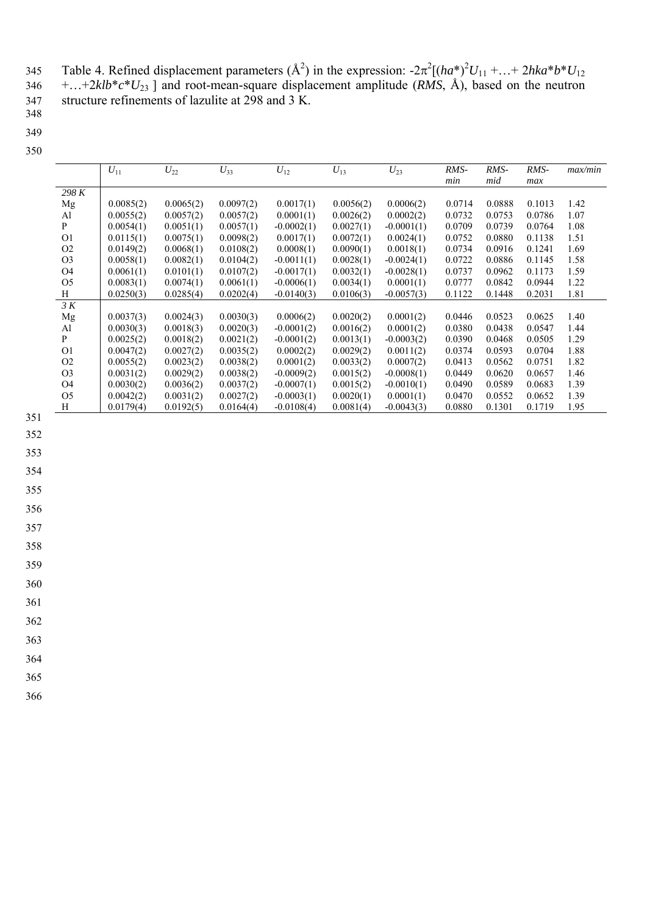345 Table 4. Refined displacement parameters  $(A^2)$  in the expression:  $-2\pi^2[(ha^*)^2U_{11} + ... + 2hka*b*bU_{12}]$ 346 +…+2*klb*\**c*\**U*23 ] and root-mean-square displacement amplitude (*RMS*, Å), based on the neutron 347 structure refinements of lazulite at  $298$  and  $3 \text{ K}$ .

- 348
- 349 350

|                | $U_{11}$  | $U_{22}$  | $U_{33}$  | $U_{12}$     | $U_{13}$  | $U_{23}$     | RMS-<br>min | $RMS-$<br>mid | RMS-<br>max | max/min |
|----------------|-----------|-----------|-----------|--------------|-----------|--------------|-------------|---------------|-------------|---------|
| 298 K          |           |           |           |              |           |              |             |               |             |         |
| Mg             | 0.0085(2) | 0.0065(2) | 0.0097(2) | 0.0017(1)    | 0.0056(2) | 0.0006(2)    | 0.0714      | 0.0888        | 0.1013      | 1.42    |
| Al             | 0.0055(2) | 0.0057(2) | 0.0057(2) | 0.0001(1)    | 0.0026(2) | 0.0002(2)    | 0.0732      | 0.0753        | 0.0786      | 1.07    |
| P              | 0.0054(1) | 0.0051(1) | 0.0057(1) | $-0.0002(1)$ | 0.0027(1) | $-0.0001(1)$ | 0.0709      | 0.0739        | 0.0764      | 1.08    |
| O <sub>1</sub> | 0.0115(1) | 0.0075(1) | 0.0098(2) | 0.0017(1)    | 0.0072(1) | 0.0024(1)    | 0.0752      | 0.0880        | 0.1138      | 1.51    |
| O <sub>2</sub> | 0.0149(2) | 0.0068(1) | 0.0108(2) | 0.0008(1)    | 0.0090(1) | 0.0018(1)    | 0.0734      | 0.0916        | 0.1241      | 1.69    |
| O <sub>3</sub> | 0.0058(1) | 0.0082(1) | 0.0104(2) | $-0.0011(1)$ | 0.0028(1) | $-0.0024(1)$ | 0.0722      | 0.0886        | 0.1145      | 1.58    |
| O <sub>4</sub> | 0.0061(1) | 0.0101(1) | 0.0107(2) | $-0.0017(1)$ | 0.0032(1) | $-0.0028(1)$ | 0.0737      | 0.0962        | 0.1173      | 1.59    |
| O <sub>5</sub> | 0.0083(1) | 0.0074(1) | 0.0061(1) | $-0.0006(1)$ | 0.0034(1) | 0.0001(1)    | 0.0777      | 0.0842        | 0.0944      | 1.22    |
| Η              | 0.0250(3) | 0.0285(4) | 0.0202(4) | $-0.0140(3)$ | 0.0106(3) | $-0.0057(3)$ | 0.1122      | 0.1448        | 0.2031      | 1.81    |
| 3 K            |           |           |           |              |           |              |             |               |             |         |
| Mg             | 0.0037(3) | 0.0024(3) | 0.0030(3) | 0.0006(2)    | 0.0020(2) | 0.0001(2)    | 0.0446      | 0.0523        | 0.0625      | 1.40    |
| Al             | 0.0030(3) | 0.0018(3) | 0.0020(3) | $-0.0001(2)$ | 0.0016(2) | 0.0001(2)    | 0.0380      | 0.0438        | 0.0547      | 1.44    |
| P              | 0.0025(2) | 0.0018(2) | 0.0021(2) | $-0.0001(2)$ | 0.0013(1) | $-0.0003(2)$ | 0.0390      | 0.0468        | 0.0505      | 1.29    |
| O <sub>1</sub> | 0.0047(2) | 0.0027(2) | 0.0035(2) | 0.0002(2)    | 0.0029(2) | 0.0011(2)    | 0.0374      | 0.0593        | 0.0704      | 1.88    |
| O <sub>2</sub> | 0.0055(2) | 0.0023(2) | 0.0038(2) | 0.0001(2)    | 0.0033(2) | 0.0007(2)    | 0.0413      | 0.0562        | 0.0751      | 1.82    |
| O <sub>3</sub> | 0.0031(2) | 0.0029(2) | 0.0038(2) | $-0.0009(2)$ | 0.0015(2) | $-0.0008(1)$ | 0.0449      | 0.0620        | 0.0657      | 1.46    |
| O <sub>4</sub> | 0.0030(2) | 0.0036(2) | 0.0037(2) | $-0.0007(1)$ | 0.0015(2) | $-0.0010(1)$ | 0.0490      | 0.0589        | 0.0683      | 1.39    |
| O <sub>5</sub> | 0.0042(2) | 0.0031(2) | 0.0027(2) | $-0.0003(1)$ | 0.0020(1) | 0.0001(1)    | 0.0470      | 0.0552        | 0.0652      | 1.39    |
| H              | 0.0179(4) | 0.0192(5) | 0.0164(4) | $-0.0108(4)$ | 0.0081(4) | $-0.0043(3)$ | 0.0880      | 0.1301        | 0.1719      | 1.95    |

- 351
- 352
- 353

354

355

356

357

358

359

360

361

362

363

364

365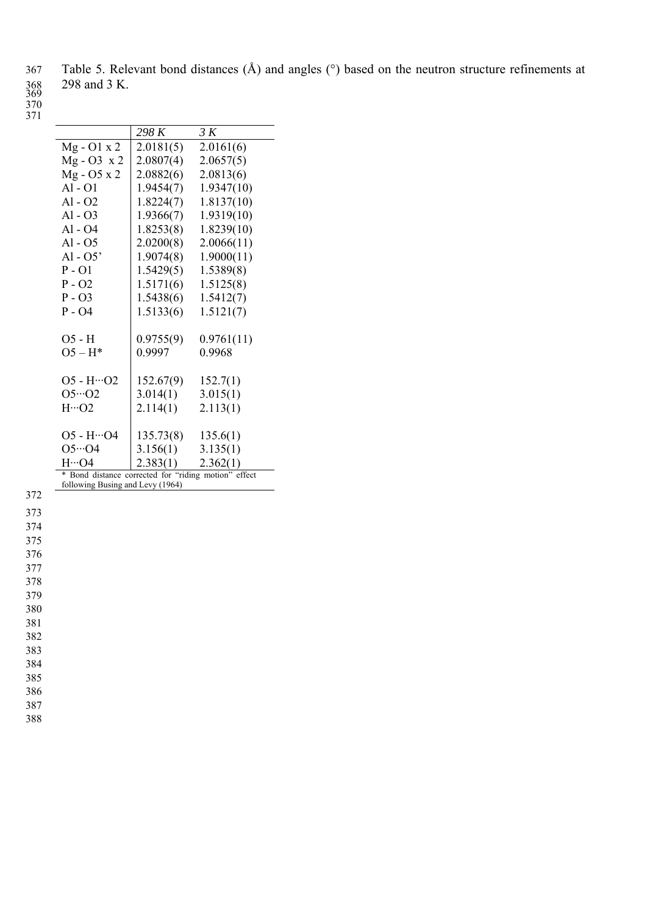367 Table 5. Relevant bond distances (Å) and angles (°) based on the neutron structure refinements at 298 and 3 K.

369

| ٦<br>I |  |
|--------|--|
|        |  |

|                                                      | 298 K                  | 3 K        |
|------------------------------------------------------|------------------------|------------|
| $Mg - O1 x 2$                                        | 2.0181(5)              | 2.0161(6)  |
| $Mg - O3 x 2$                                        | 2.0807(4)              | 2.0657(5)  |
| Mg - O5 x 2                                          | 2.0882(6)              | 2.0813(6)  |
| $Al - O1$                                            | 1.9454(7)              | 1.9347(10) |
| $Al - O2$                                            | 1.8224(7)              | 1.8137(10) |
| $Al - O3$                                            | 1.9366(7)              | 1.9319(10) |
| Al - O4                                              | 1.8253(8)              | 1.8239(10) |
| $Al - O5$                                            | 2.0200(8)              | 2.0066(11) |
| $Al - O5'$                                           | 1.9074(8)              | 1.9000(11) |
| $P - O1$                                             | 1.5429(5)              | 1.5389(8)  |
| $P - O2$                                             | 1.5171(6)              | 1.5125(8)  |
| $P - O3$                                             | 1.5438(6)              | 1.5412(7)  |
| $P - O4$                                             | 1.5133(6)              | 1.5121(7)  |
| $O5 - H$                                             | 0.9755(9)              | 0.9761(11) |
| $O5 - H^*$                                           | 0.9997                 | 0.9968     |
| $O5 - H \cdots O2$                                   | $152.67(9)$ $152.7(1)$ |            |
| $O5 \cdot O2$                                        | 3.014(1)               | 3.015(1)   |
| $H \cdot \cdot \cdot O2$                             | 2.114(1)               | 2.113(1)   |
| $O5 - H \cdot 04$                                    | 135.73(8)              | 135.6(1)   |
| $05 - 04$                                            | 3.156(1)               | 3.135(1)   |
| H…O4                                                 | 2.383(1)               | 2.362(1)   |
| * Bond distance corrected for "riding motion" effect |                        |            |
| following Busing and Levy (1964)                     |                        |            |

372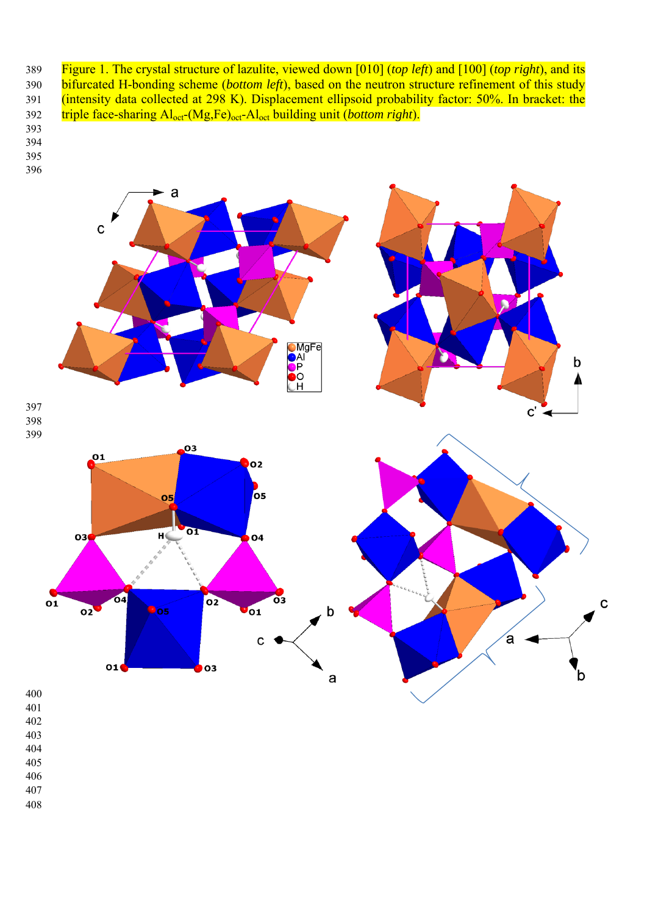389 Figure 1. The crystal structure of lazulite, viewed down [010] (*top left*) and [100] (*top right*), and its 390 bifurcated H-bonding scheme (*bottom left*), based on the neutron structure refinement of this study 391 (intensity data collected at 298 K). Displacement ellipsoid probability factor: 50%. In bracket: the 392 triple face-sharing Aloct-(Mg,Fe)oct-Aloct building unit (*bottom right*).

- 
- 
- 



- 
- 
- 
- 
- 
- 
-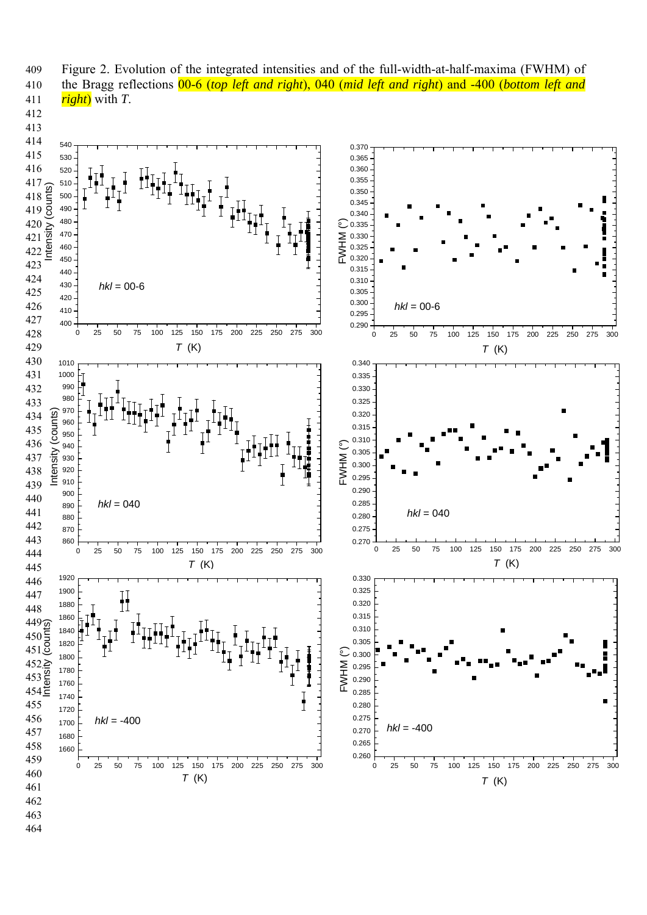

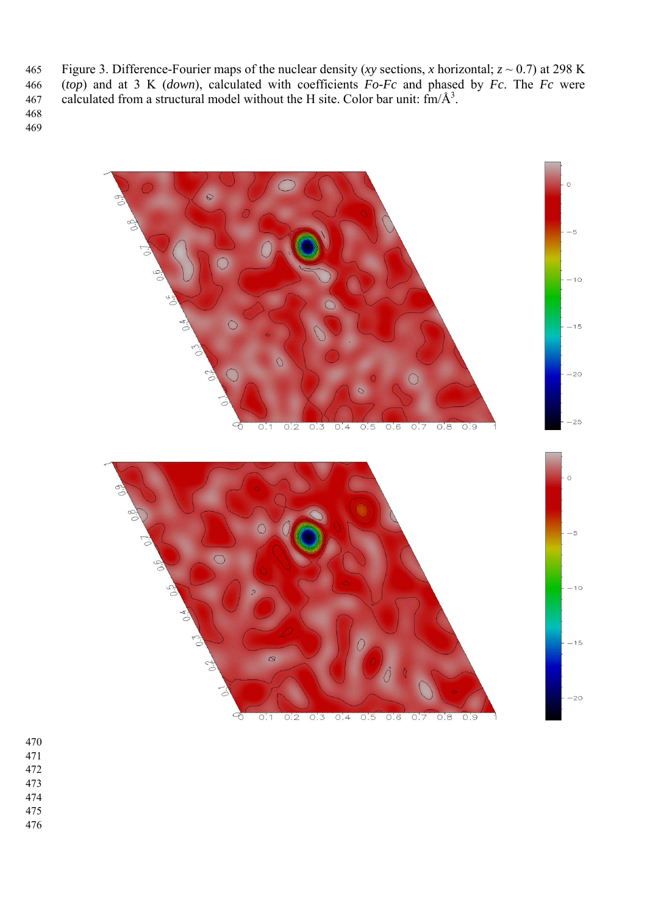465 Figure 3. Difference-Fourier maps of the nuclear density (*xy* sections, *x* horizontal;  $z \sim 0.7$ ) at 298 K 466 (*top*) and at 3 K (*down*), calculated with coefficients *Fo-Fc* and phased by *Fc*. The *Fc* were 467 calculated from a structural model without the H site. Color bar unit:  $\text{fm/A}^3$ .



- 
- 
- 
- 
- 
-